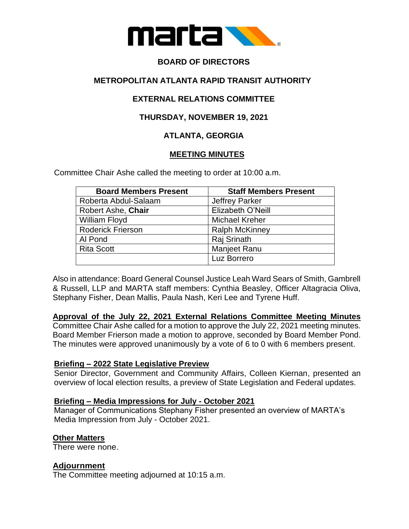

# **BOARD OF DIRECTORS**

# **METROPOLITAN ATLANTA RAPID TRANSIT AUTHORITY**

# **EXTERNAL RELATIONS COMMITTEE**

# **THURSDAY, NOVEMBER 19, 2021**

# **ATLANTA, GEORGIA**

## **MEETING MINUTES**

Committee Chair Ashe called the meeting to order at 10:00 a.m.

| <b>Board Members Present</b> | <b>Staff Members Present</b> |
|------------------------------|------------------------------|
| Roberta Abdul-Salaam         | <b>Jeffrey Parker</b>        |
| Robert Ashe, Chair           | Elizabeth O'Neill            |
| <b>William Floyd</b>         | <b>Michael Kreher</b>        |
| <b>Roderick Frierson</b>     | <b>Ralph McKinney</b>        |
| Al Pond                      | Raj Srinath                  |
| <b>Rita Scott</b>            | <b>Manjeet Ranu</b>          |
|                              | Luz Borrero                  |

Also in attendance: Board General Counsel Justice Leah Ward Sears of Smith, Gambrell & Russell, LLP and MARTA staff members: Cynthia Beasley, Officer Altagracia Oliva, Stephany Fisher, Dean Mallis, Paula Nash, Keri Lee and Tyrene Huff.

**Approval of the July 22, 2021 External Relations Committee Meeting Minutes**

Committee Chair Ashe called for a motion to approve the July 22, 2021 meeting minutes. Board Member Frierson made a motion to approve, seconded by Board Member Pond. The minutes were approved unanimously by a vote of 6 to 0 with 6 members present.

## **Briefing – 2022 State Legislative Preview**

Senior Director, Government and Community Affairs, Colleen Kiernan, presented an overview of local election results, a preview of State Legislation and Federal updates.

#### **Briefing – Media Impressions for July - October 2021**

Manager of Communications Stephany Fisher presented an overview of MARTA's Media Impression from July - October 2021.

## **Other Matters**

There were none.

#### **Adjournment**

The Committee meeting adjourned at 10:15 a.m.